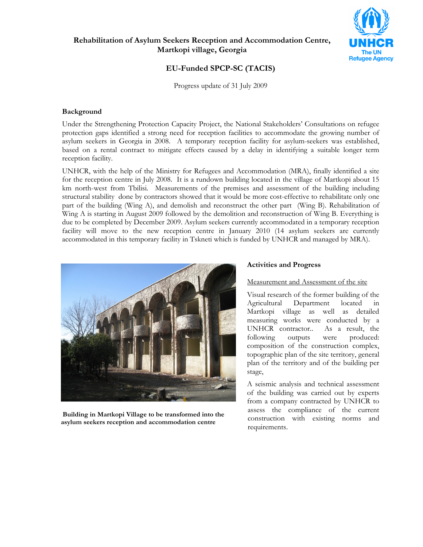



# EU-Funded SPCP-SC (TACIS)

Progress update of 31 July 2009

#### Background

Under the Strengthening Protection Capacity Project, the National Stakeholders' Consultations on refugee protection gaps identified a strong need for reception facilities to accommodate the growing number of asylum seekers in Georgia in 2008. A temporary reception facility for asylum-seekers was established, based on a rental contract to mitigate effects caused by a delay in identifying a suitable longer term reception facility.

UNHCR, with the help of the Ministry for Refugees and Accommodation (MRA), finally identified a site for the reception centre in July 2008. It is a rundown building located in the village of Martkopi about 15 km north-west from Tbilisi. Measurements of the premises and assessment of the building including structural stability done by contractors showed that it would be more cost-effective to rehabilitate only one part of the building (Wing A), and demolish and reconstruct the other part (Wing B). Rehabilitation of Wing A is starting in August 2009 followed by the demolition and reconstruction of Wing B. Everything is due to be completed by December 2009. Asylum seekers currently accommodated in a temporary reception facility will move to the new reception centre in January 2010 (14 asylum seekers are currently accommodated in this temporary facility in Tskneti which is funded by UNHCR and managed by MRA).



 Building in Martkopi Village to be transformed into the asylum seekers reception and accommodation centre

#### Activities and Progress

#### Measurement and Assessment of the site

Visual research of the former building of the Agricultural Department located in Martkopi village as well as detailed measuring works were conducted by a UNHCR contractor.. As a result, the following outputs were produced: composition of the construction complex, topographic plan of the site territory, general plan of the territory and of the building per stage,

A seismic analysis and technical assessment of the building was carried out by experts from a company contracted by UNHCR to assess the compliance of the current construction with existing norms and requirements.